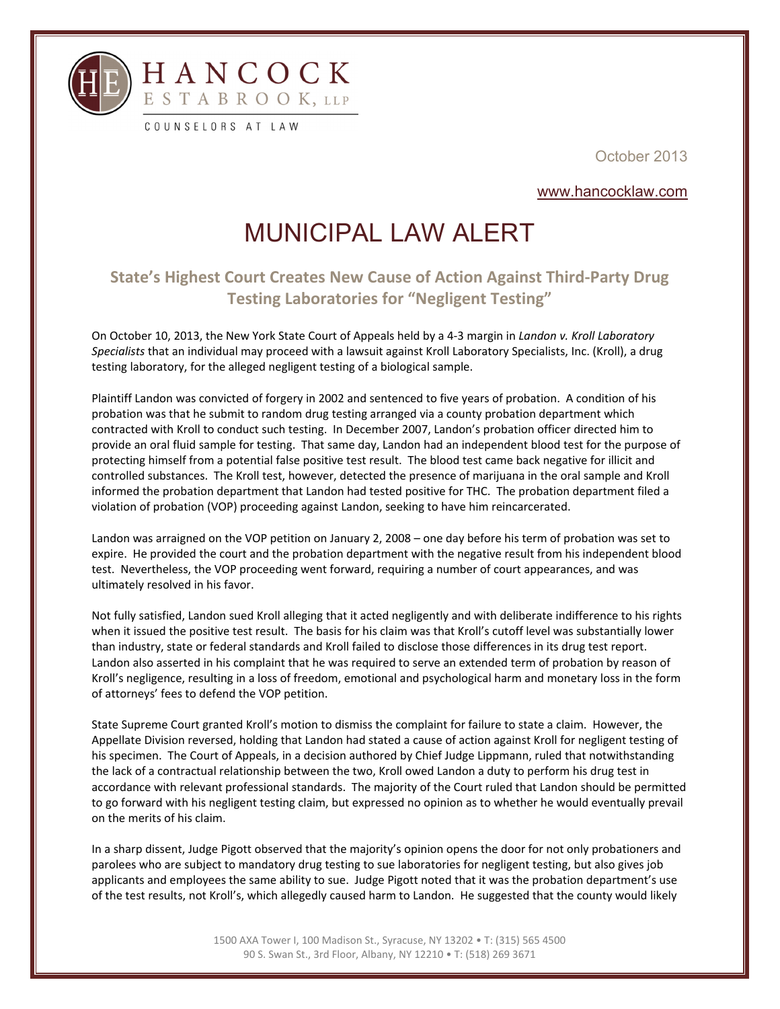

l

October 2013

www.hancocklaw.com

## MUNICIPAL LAW ALERT

## **State's Highest Court Creates New Cause of Action Against Third‐Party Drug Testing Laboratories for "Negligent Testing"**

On October 10, 2013, the New York State Court of Appeals held by a 4‐3 margin in *Landon v. Kroll Laboratory Specialists* that an individual may proceed with a lawsuit against Kroll Laboratory Specialists, Inc. (Kroll), a drug testing laboratory, for the alleged negligent testing of a biological sample.

Plaintiff Landon was convicted of forgery in 2002 and sentenced to five years of probation. A condition of his probation was that he submit to random drug testing arranged via a county probation department which contracted with Kroll to conduct such testing. In December 2007, Landon's probation officer directed him to provide an oral fluid sample for testing. That same day, Landon had an independent blood test for the purpose of protecting himself from a potential false positive test result. The blood test came back negative for illicit and controlled substances. The Kroll test, however, detected the presence of marijuana in the oral sample and Kroll informed the probation department that Landon had tested positive for THC. The probation department filed a violation of probation (VOP) proceeding against Landon, seeking to have him reincarcerated.

Landon was arraigned on the VOP petition on January 2, 2008 – one day before his term of probation was set to expire. He provided the court and the probation department with the negative result from his independent blood test. Nevertheless, the VOP proceeding went forward, requiring a number of court appearances, and was ultimately resolved in his favor.

Not fully satisfied, Landon sued Kroll alleging that it acted negligently and with deliberate indifference to his rights when it issued the positive test result. The basis for his claim was that Kroll's cutoff level was substantially lower than industry, state or federal standards and Kroll failed to disclose those differences in its drug test report. Landon also asserted in his complaint that he was required to serve an extended term of probation by reason of Kroll's negligence, resulting in a loss of freedom, emotional and psychological harm and monetary loss in the form of attorneys' fees to defend the VOP petition.

State Supreme Court granted Kroll's motion to dismiss the complaint for failure to state a claim. However, the Appellate Division reversed, holding that Landon had stated a cause of action against Kroll for negligent testing of his specimen. The Court of Appeals, in a decision authored by Chief Judge Lippmann, ruled that notwithstanding the lack of a contractual relationship between the two, Kroll owed Landon a duty to perform his drug test in accordance with relevant professional standards. The majority of the Court ruled that Landon should be permitted to go forward with his negligent testing claim, but expressed no opinion as to whether he would eventually prevail on the merits of his claim.

In a sharp dissent, Judge Pigott observed that the majority's opinion opens the door for not only probationers and parolees who are subject to mandatory drug testing to sue laboratories for negligent testing, but also gives job applicants and employees the same ability to sue. Judge Pigott noted that it was the probation department's use of the test results, not Kroll's, which allegedly caused harm to Landon. He suggested that the county would likely

> 1500 AXA Tower I, 100 Madison St., Syracuse, NY 13202 • T: (315) 565 4500 90 S. Swan St., 3rd Floor, Albany, NY 12210 • T: (518) 269 3671